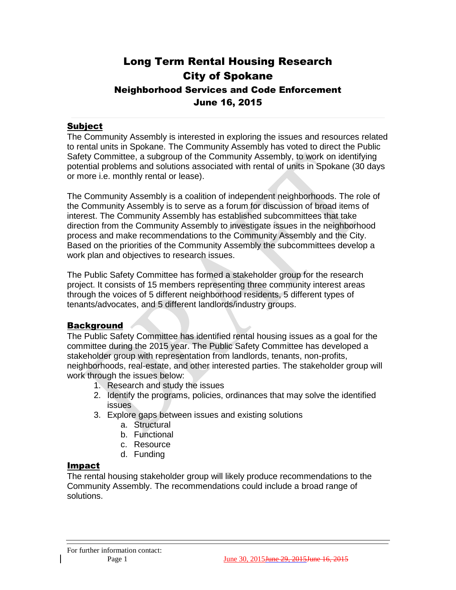# Long Term Rental Housing Research City of Spokane Neighborhood Services and Code Enforcement June 16, 2015

### Subject

The Community Assembly is interested in exploring the issues and resources related to rental units in Spokane. The Community Assembly has voted to direct the Public Safety Committee, a subgroup of the Community Assembly, to work on identifying potential problems and solutions associated with rental of units in Spokane (30 days or more i.e. monthly rental or lease).

The Community Assembly is a coalition of independent neighborhoods. The role of the Community Assembly is to serve as a forum for discussion of broad items of interest. The Community Assembly has established subcommittees that take direction from the Community Assembly to investigate issues in the neighborhood process and make recommendations to the Community Assembly and the City. Based on the priorities of the Community Assembly the subcommittees develop a work plan and objectives to research issues.

The Public Safety Committee has formed a stakeholder group for the research project. It consists of 15 members representing three community interest areas through the voices of 5 different neighborhood residents, 5 different types of tenants/advocates, and 5 different landlords/industry groups.

## **Background**

The Public Safety Committee has identified rental housing issues as a goal for the committee during the 2015 year. The Public Safety Committee has developed a stakeholder group with representation from landlords, tenants, non-profits, neighborhoods, real-estate, and other interested parties. The stakeholder group will work through the issues below:

- 1. Research and study the issues
- 2. Identify the programs, policies, ordinances that may solve the identified issues
- 3. Explore gaps between issues and existing solutions
	- a. Structural
	- b. Functional
	- c. Resource
	- d. Funding

#### Impact

The rental housing stakeholder group will likely produce recommendations to the Community Assembly. The recommendations could include a broad range of solutions.